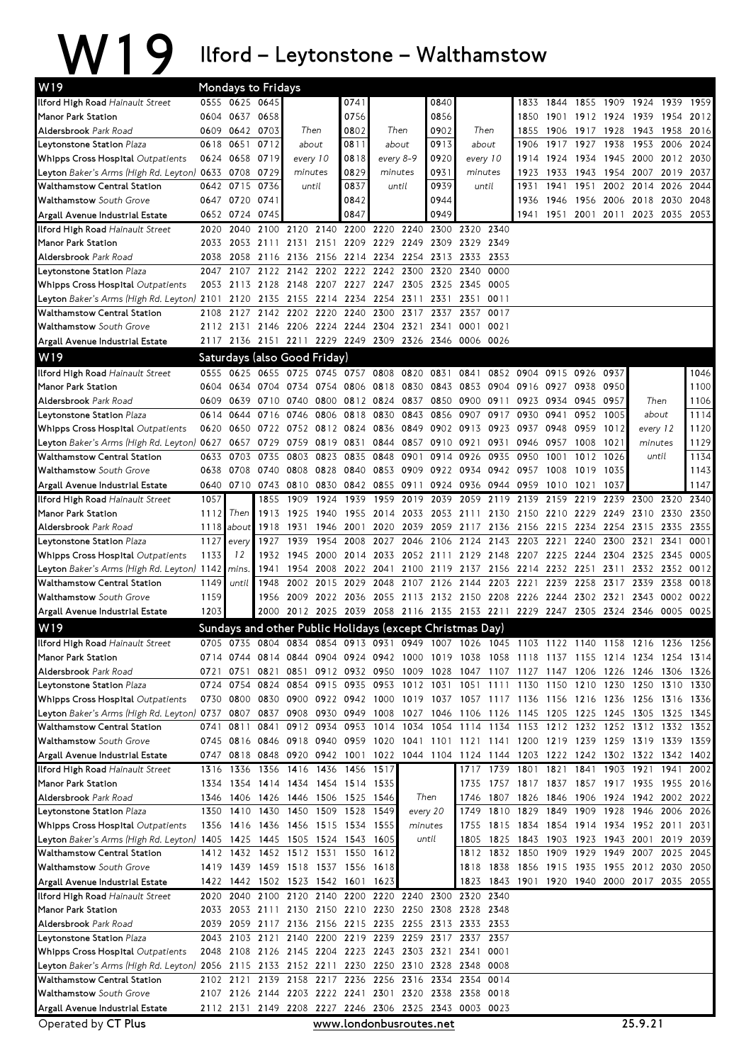## W19 Ilford–Leytonstone–Walthamstow

| W19                                                                                                           | Mondays to Fridays |                     |              |                                    |              |                        |                                         |           |                                                                                           |              |           |                                  |           |              |                                                                     |                     |              |              |
|---------------------------------------------------------------------------------------------------------------|--------------------|---------------------|--------------|------------------------------------|--------------|------------------------|-----------------------------------------|-----------|-------------------------------------------------------------------------------------------|--------------|-----------|----------------------------------|-----------|--------------|---------------------------------------------------------------------|---------------------|--------------|--------------|
| Ilford High Road Hainault Street                                                                              |                    | 0555 0625 0645      |              |                                    |              | 0741                   |                                         |           | 0840                                                                                      |              |           | 1833                             | 1844      | 1855         | 1909 1924                                                           |                     | 1939         | 1959         |
| Manor Park Station                                                                                            |                    | 0604 0637 0658      |              |                                    |              | 0756                   |                                         |           | 0856                                                                                      |              |           | 1850                             | 1901      |              | 1912 1924 1939                                                      |                     | 1954         | 2012         |
| Aldersbrook Park Road                                                                                         |                    | 0609 0642 0703      |              | Then                               |              | 0802                   | Then                                    |           | 0902                                                                                      | Then         |           | 1855                             | 1906      | 1917 1928    |                                                                     | 1943                | 1958         | 2016         |
| Leytonstone Station Plaza                                                                                     | 0618               | 0651                | 0712         | about                              |              | 0811                   | about                                   |           | 0913                                                                                      | about        |           | 1906                             | 1917      | 1927         | 1938                                                                | 1953                | 2006         | 2024         |
| Whipps Cross Hospital Outpatients                                                                             |                    | 0624 0658 0719      |              | every 10                           |              | 0818                   | every 8-9                               |           | 0920                                                                                      | every 10     |           | 1914                             | 1924      | 1934         | 1945 2000                                                           |                     | 2012         | 2030         |
| Leyton Baker's Arms (High Rd. Leyton) 0633 0708                                                               |                    |                     | 0729         | minutes                            |              | 0829                   | minutes                                 |           | 0931                                                                                      | minutes      |           | 1923                             | 1933      | 1943         | 1954 2007                                                           |                     | 2019         | 2037         |
| <b>Walthamstow Central Station</b>                                                                            |                    | 0642 0715           | 0736         | until                              |              | 0837                   | until                                   |           | 0939                                                                                      |              | until     | 1931                             | 1941      | 1951         | 2002 2014                                                           |                     | 2026         | 2044         |
| Walthamstow South Grove                                                                                       |                    | 0647 0720           | 0741         |                                    |              | 0842                   |                                         |           | 0944                                                                                      |              |           | 1936                             | 1946      | 1956         | 2006 2018                                                           |                     | 2030         | 2048         |
| Argall Avenue Industrial Estate                                                                               |                    | 0652 0724<br>2040   | 0745         |                                    |              | 0847<br>2140 2200 2220 |                                         | 2240      | 0949<br>2300 2320                                                                         |              | 2340      | 1941                             | 1951 2001 |              |                                                                     | 2011 2023 2035 2053 |              |              |
| Ilford High Road Hainault Street<br>Manor Park Station                                                        | 2020<br>2033       |                     |              | 2100 2120                          |              |                        | 2053 2111 2131 2151 2209 2229 2249 2309 |           |                                                                                           | 2329 2349    |           |                                  |           |              |                                                                     |                     |              |              |
| <b>Aldersbrook</b> Park Road                                                                                  | 2038               | 2058                | 2116         | 2136                               |              | 2156 2214 2234         |                                         | 2254      | 2313                                                                                      | 2333         | 2353      |                                  |           |              |                                                                     |                     |              |              |
| Leytonstone Station Plaza                                                                                     | 2047               | 2107                |              | 2122 2142                          |              | 2202 2222 2242         |                                         | 2300      | 2320                                                                                      | 2340         | 0000      |                                  |           |              |                                                                     |                     |              |              |
| Whipps Cross Hospital Outpatients                                                                             | 2053               | 2113                | 2128         | 2148                               |              | 2207 2227              | 2247                                    |           | 2305 2325 2345                                                                            |              | 0005      |                                  |           |              |                                                                     |                     |              |              |
| Leyton Baker's Arms (High Rd. Leyton) 2101                                                                    |                    | 2120                | 2135         | 2155                               |              | 2214 2234 2254         |                                         | 2311      | 2331                                                                                      | 2351         | 0011      |                                  |           |              |                                                                     |                     |              |              |
| <b>Walthamstow Central Station</b>                                                                            | 2108               | 2127                |              | 2142 2202                          | 2220         | 2240                   | 2300                                    | 2317      | 2337                                                                                      | 2357         | 0017      |                                  |           |              |                                                                     |                     |              |              |
| Walthamstow South Grove                                                                                       |                    |                     |              | 2112 2131 2146 2206 2224 2244 2304 |              |                        |                                         | 2321 2341 |                                                                                           | 0001         | 0021      |                                  |           |              |                                                                     |                     |              |              |
| Argall Avenue Industrial Estate                                                                               |                    |                     |              |                                    |              |                        |                                         |           | 2117 2136 2151 2211 2229 2249 2309 2326 2346 0006                                         |              | 0026      |                                  |           |              |                                                                     |                     |              |              |
| W19                                                                                                           |                    |                     |              | Saturdays (also Good Friday)       |              |                        |                                         |           |                                                                                           |              |           |                                  |           |              |                                                                     |                     |              |              |
| Ilford High Road Hainault Street                                                                              | 0555               | 0625                | 0655         | 0725                               |              | 0745 0757 0808         |                                         | 0820      | 0831                                                                                      | 0841         |           | 0852 0904                        | 0915      | 0926         | 0937                                                                |                     |              | 1046         |
| Manor Park Station                                                                                            | 0604               | 0634                | 0704         | 0734                               |              | 0754 0806              | 0818                                    | 0830      | 0843                                                                                      | 0853         | 0904      | 0916 0927                        |           | 0938         | 0950                                                                |                     |              | 1100         |
| <b>Aldersbrook</b> Park Road                                                                                  | 0609               | 0639                | 0710 0740    |                                    | 0800         | 0812 0824              |                                         | 0837      | 0850                                                                                      | 0900         | 0911      |                                  | 0923 0934 | 0945         | 0957                                                                | Then                |              | 1106         |
| Leytonstone Station Plaza                                                                                     | 0614               | 0644                | 0716         | 0746                               | 0806         | 0818                   | 0830                                    | 0843      | 0856                                                                                      | 0907         | 0917      | 0930                             | 0941      | 0952         | 1005                                                                | about               |              | 1114         |
| Whipps Cross Hospital Outpatients                                                                             |                    | 0620 0650           | 0722 0752    |                                    |              | 0812 0824              | 0836                                    |           | 0849 0902 0913                                                                            |              | 0923      | 0937                             | 0948      | 0959         | 1012                                                                | every 12            |              | 1120         |
| Leyton Baker's Arms (High Rd. Leyton) 0627 0657                                                               |                    |                     | 0729         | 0759                               |              | 0819 0831              | 0844                                    |           | 0857 0910                                                                                 | 0921         | 0931      | 0946                             | 0957      | 1008         | 1021                                                                | minutes             |              | 1129         |
| <b>Walthamstow Central Station</b>                                                                            | 0633               | 0703                | 0735         | 0803                               | 0823         | 0835                   | 0848                                    | 0901      | 0914                                                                                      | 0926         | 0935      | 0950                             | 1001      | 1012         | 1026                                                                | until               |              | 1134         |
| Walthamstow South Grove                                                                                       | 0638               | 0708 0740           |              | 0808                               | 0828         | 0840                   | 0853                                    |           | 0909 0922 0934                                                                            |              | 0942 0957 |                                  | 1008      | 1019         | 1035                                                                |                     |              | 1143         |
| Argall Avenue Industrial Estate                                                                               |                    | 0640 0710 0743 0810 |              |                                    | 0830         | 0842 0855              |                                         |           | 0911 0924 0936                                                                            |              |           | 0944 0959 1010                   |           | 1021         | 1037                                                                |                     |              | 1147         |
| Ilford High Road Hainault Street                                                                              | 1057               |                     | 1855         | 1909                               | 1924         | 1939                   | 1959                                    | 2019      | 2039                                                                                      | 2059         | 2119      | 2139                             | 2159      | 2219         | 2239 2300                                                           |                     | 2320         | 2340         |
| Manor Park Station                                                                                            | 1112               | Then                | 1913         | 1925                               | 1940         |                        | 1955 2014                               |           | 2033 2053 2111                                                                            |              |           | 2130 2150 2210                   |           | 2229         | 2249 2310                                                           |                     | 2330         | 2350         |
| Aldersbrook Park Road                                                                                         | 1118<br>1127       | about               | 1918<br>1927 | 1931<br>1939                       | 1946         | 2001<br>2008           | 2020<br>2027                            |           | 2039 2059 2117 2136 2156 2215                                                             |              |           |                                  |           | 2234<br>2240 | 2254 2315<br>2300 2321                                              |                     | 2335<br>2341 | 2355<br>0001 |
| Leytonstone Station Plaza<br>Whipps Cross Hospital Outpatients                                                | 1133               | every<br>12         | 1932         | 1945                               | 1954<br>2000 | 2014                   | 2033                                    |           | 2046 2106 2124<br>2052 2111 2129                                                          |              |           | 2143 2203 2221<br>2148 2207 2225 |           | 2244         | 2304 2325                                                           |                     | 2345         | 0005         |
| Leyton Baker's Arms (High Rd. Leyton) 1142                                                                    |                    | mins.               | 1941         | 1954                               |              | 2008 2022 2041         |                                         |           | 2100 2119 2137 2156 2214 2232 2251                                                        |              |           |                                  |           |              | 2311                                                                | 2332 2352           |              | 0012         |
| Walthamstow Central Station                                                                                   | 1149               | until               | 1948         | 2002                               |              | 2015 2029              | 2048                                    |           | 2107 2126 2144                                                                            |              |           | 2203 2221                        | 2239      | 2258         | 2317                                                                | 2339                | 2358         | 0018         |
| Walthamstow South Grove                                                                                       | 1159               |                     | 1956         | 2009                               |              | 2022 2036              | 2055                                    |           | 2113 2132 2150 2208                                                                       |              |           | 2226 2244                        |           | 2302         | 2321                                                                | 2343                | 0002         | 0022         |
| Argall Avenue Industrial Estate                                                                               | 1203               |                     |              |                                    |              |                        |                                         |           | 2000 2012 2025 2039 2058 2116 2135 2153 2211 2229 2247                                    |              |           |                                  |           |              | 2305 2324 2346                                                      |                     | 0005 0025    |              |
| W19                                                                                                           |                    |                     |              |                                    |              |                        |                                         |           | Sundays and other Public Holidays (except Christmas Day)                                  |              |           |                                  |           |              |                                                                     |                     |              |              |
| Ilford High Road Hainault Street                                                                              |                    |                     |              |                                    |              |                        |                                         |           | 0705 0735 0804 0834 0854 0913 0931 0949 1007 1026 1045 1103 1122 1140 1158 1216 1236 1256 |              |           |                                  |           |              |                                                                     |                     |              |              |
| Manor Park Station                                                                                            |                    | 0714 0744 0814 0844 |              |                                    |              |                        |                                         |           | 0904 0924 0942 1000 1019 1038 1058 1118 1137 1155 1214 1234 1254 1314                     |              |           |                                  |           |              |                                                                     |                     |              |              |
| Aldersbrook Park Road                                                                                         | 0721               | 0751                | 0821         | 0851                               |              | 0912 0932 0950         |                                         |           | 1009 1028 1047                                                                            |              | 1107      | 1127                             | 1147      | 1206         | 1226                                                                | 1246                | 1306         | 1326         |
| Leytonstone Station Plaza                                                                                     |                    | 0724 0754 0824 0854 |              |                                    |              |                        |                                         |           | 0915 0935 0953 1012 1031 1051 1111 1130 1150 1210 1230 1250 1310 1330                     |              |           |                                  |           |              |                                                                     |                     |              |              |
| Whipps Cross Hospital Outpatients                                                                             |                    |                     |              | 0730 0800 0830 0900 0922 0942 1000 |              |                        |                                         |           | 1019 1037 1057 1117 1136 1156 1216 1236 1256 1316 1336                                    |              |           |                                  |           |              |                                                                     |                     |              |              |
| Leyton Baker's Arms (High Rd. Leyton) 0737 0807                                                               |                    |                     | 0837         | 0908                               |              | 0930 0949 1008         |                                         |           | 1027 1046 1106 1126 1145 1205 1225 1245 1305 1325 1345                                    |              |           |                                  |           |              |                                                                     |                     |              |              |
| Walthamstow Central Station                                                                                   |                    | 0741 0811           | 0841         | 0912                               | 0934         |                        | 0953 1014                               |           | 1034 1054 1114 1134 1153 1212 1232 1252 1312 1332 1352                                    |              |           |                                  |           |              |                                                                     |                     |              |              |
| <b>Walthamstow</b> South Grove                                                                                |                    | 0745 0816           | 0846 0918    |                                    |              | 0940 0959 1020         |                                         |           | 1041 1101 1121 1141 1200 1219 1239 1259 1319 1339 1359                                    |              |           |                                  |           |              |                                                                     |                     |              |              |
| Argall Avenue Industrial Estate                                                                               |                    | 0747 0818 0848 0920 |              |                                    |              |                        |                                         |           | 0942 1001 1022 1044 1104 1124 1144 1203 1222 1242 1302 1322 1342                          |              |           |                                  |           |              |                                                                     |                     |              | 1402         |
| Ilford High Road Hainault Street                                                                              | 1316               | 1336                |              | 1356 1416                          |              | 1436 1456 1517         |                                         |           |                                                                                           |              |           | 1717 1739 1801 1821 1841         |           |              | 1903 1921                                                           |                     | 1941         | 2002         |
| Manor Park Station                                                                                            |                    | 1334 1354           |              | 1414 1434                          |              | 1454 1514 1535         |                                         |           |                                                                                           | 1735         | 1757      |                                  |           |              | 1817 1837 1857 1917 1935                                            |                     | 1955         | 2016         |
| Aldersbrook Park Road                                                                                         | 1346               | 1406                |              | 1426 1446                          |              | 1506 1525 1546         |                                         |           | Then                                                                                      | 1746         | 1807      | 1826                             | 1846      | 1906         |                                                                     | 1924 1942 2002      |              | 2022         |
| Leytonstone Station Plaza                                                                                     | 1350               | 1410                | 1430         | 1450                               |              | 1509 1528 1549         |                                         |           | every 20                                                                                  | 1749         | 1810      | 1829                             | 1849      | 1909         | 1928                                                                | 1946                | 2006         | 2026         |
| Whipps Cross Hospital Outpatients<br>Leyton Baker's Arms (High Rd. Leyton) 1405 1425 1445 1505 1524 1543 1605 |                    |                     |              | 1356 1416 1436 1456 1515 1534 1555 |              |                        |                                         |           | minutes<br>until                                                                          | 1755<br>1805 |           |                                  |           |              | 1815 1834 1854 1914 1934 1952 2011<br>1825 1843 1903 1923 1943 2001 |                     | 2019         | 2031<br>2039 |
| Walthamstow Central Station                                                                                   |                    | 1412 1432           |              | 1452 1512 1531 1550 1612           |              |                        |                                         |           |                                                                                           |              |           | 1812 1832 1850 1909 1929         |           |              | 1949 2007 2025                                                      |                     |              | 2045         |
| Walthamstow South Grove                                                                                       |                    |                     |              | 1419 1439 1459 1518 1537 1556 1618 |              |                        |                                         |           |                                                                                           | 1818         | 1838      |                                  |           |              | 1856 1915 1935 1955 2012 2030                                       |                     |              | 2050         |
| Argall Avenue Industrial Estate                                                                               |                    |                     |              | 1422 1442 1502 1523 1542 1601 1623 |              |                        |                                         |           |                                                                                           | 1823         |           | 1843 1901 1920 1940              |           |              |                                                                     | 2000 2017 2035 2055 |              |              |
| Ilford High Road Hainault Street                                                                              | 2020               | 2040                |              | 2100 2120                          |              |                        | 2140 2200 2220 2240                     |           | 2300                                                                                      | 2320         | 2340      |                                  |           |              |                                                                     |                     |              |              |
| Manor Park Station                                                                                            |                    |                     |              |                                    |              |                        |                                         |           | 2033 2053 2111 2130 2150 2210 2230 2250 2308 2328 2348                                    |              |           |                                  |           |              |                                                                     |                     |              |              |
| <b>Aldersbrook</b> Park Road                                                                                  | 2039               |                     |              |                                    |              |                        |                                         |           | 2059 2117 2136 2156 2215 2235 2255 2313 2333 2353                                         |              |           |                                  |           |              |                                                                     |                     |              |              |
| Leytonstone Station <i>Plaza</i>                                                                              |                    |                     |              |                                    |              |                        |                                         |           | 2043 2103 2121 2140 2200 2219 2239 2259 2317 2337 2357                                    |              |           |                                  |           |              |                                                                     |                     |              |              |
| Whipps Cross Hospital Outpatients                                                                             |                    |                     |              |                                    |              |                        |                                         |           | 2048 2108 2126 2145 2204 2223 2243 2303 2321 2341 0001                                    |              |           |                                  |           |              |                                                                     |                     |              |              |
| Leyton Baker's Arms (High Rd. Leyton) 2056 2115                                                               |                    |                     |              | 2133 2152 2211                     |              | 2230 2250              |                                         |           | 2310 2328 2348                                                                            |              | 0008      |                                  |           |              |                                                                     |                     |              |              |
| Walthamstow Central Station                                                                                   |                    | 2102 2121           |              | 2139 2158 2217 2236 2256           |              |                        |                                         |           | 2316 2334                                                                                 | 2354         | 0014      |                                  |           |              |                                                                     |                     |              |              |
| Walthamstow South Grove                                                                                       |                    |                     |              |                                    |              |                        |                                         |           | 2107 2126 2144 2203 2222 2241 2301 2320 2338 2358 0018                                    |              |           |                                  |           |              |                                                                     |                     |              |              |
| Argall Avenue Industrial Estate                                                                               |                    |                     |              |                                    |              |                        |                                         |           | 2112 2131 2149 2208 2227 2246 2306 2325 2343 0003 0023                                    |              |           |                                  |           |              |                                                                     |                     |              |              |
| Operated by CT Plus                                                                                           |                    |                     |              |                                    |              |                        |                                         |           | www.londonbusroutes.net                                                                   |              |           |                                  |           |              |                                                                     | 25.9.21             |              |              |